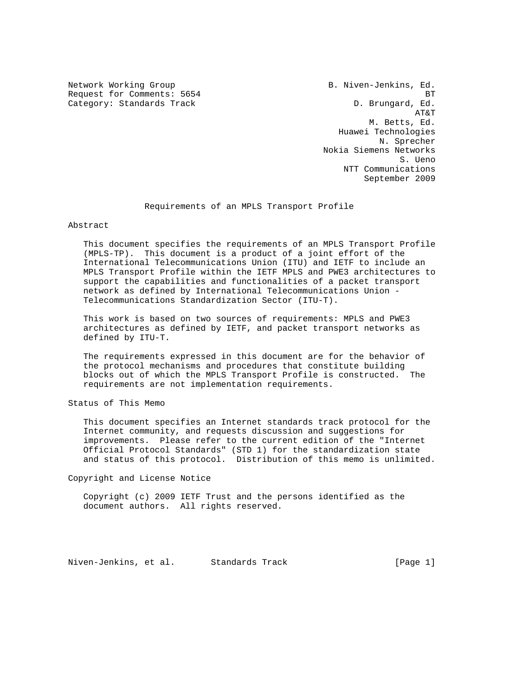Network Working Group B. Niven-Jenkins, Ed. Request for Comments: 5654 BT Category: Standards Track D. Brungard, Ed.

 AT&T M. Betts, Ed. Huawei Technologies N. Sprecher Nokia Siemens Networks S. Ueno NTT Communications September 2009

Requirements of an MPLS Transport Profile

Abstract

 This document specifies the requirements of an MPLS Transport Profile (MPLS-TP). This document is a product of a joint effort of the International Telecommunications Union (ITU) and IETF to include an MPLS Transport Profile within the IETF MPLS and PWE3 architectures to support the capabilities and functionalities of a packet transport network as defined by International Telecommunications Union - Telecommunications Standardization Sector (ITU-T).

 This work is based on two sources of requirements: MPLS and PWE3 architectures as defined by IETF, and packet transport networks as defined by ITU-T.

 The requirements expressed in this document are for the behavior of the protocol mechanisms and procedures that constitute building blocks out of which the MPLS Transport Profile is constructed. The requirements are not implementation requirements.

Status of This Memo

 This document specifies an Internet standards track protocol for the Internet community, and requests discussion and suggestions for improvements. Please refer to the current edition of the "Internet Official Protocol Standards" (STD 1) for the standardization state and status of this protocol. Distribution of this memo is unlimited.

Copyright and License Notice

 Copyright (c) 2009 IETF Trust and the persons identified as the document authors. All rights reserved.

Niven-Jenkins, et al. Standards Track [Page 1]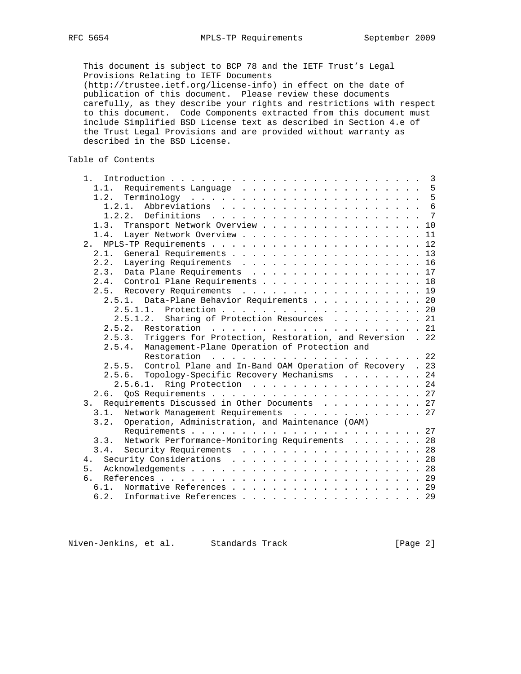This document is subject to BCP 78 and the IETF Trust's Legal Provisions Relating to IETF Documents (http://trustee.ietf.org/license-info) in effect on the date of publication of this document. Please review these documents carefully, as they describe your rights and restrictions with respect to this document. Code Components extracted from this document must include Simplified BSD License text as described in Section 4.e of the Trust Legal Provisions and are provided without warranty as described in the BSD License.

Table of Contents

| $1 \cdot$                                                          | $\overline{3}$ |
|--------------------------------------------------------------------|----------------|
| 1.1. Requirements Language 5                                       |                |
| 1.2.                                                               |                |
| 1.2.1.                                                             |                |
| 1.2.2.                                                             |                |
| Transport Network Overview 10<br>1.3.                              |                |
| Layer Network Overview 11<br>1.4.                                  |                |
| 2.                                                                 |                |
| 2.1.                                                               |                |
| 2.2. Layering Requirements 16                                      |                |
| 2.3. Data Plane Requirements 17                                    |                |
| Control Plane Requirements 18<br>2.4.                              |                |
| 2.5. Recovery Requirements 19                                      |                |
| Data-Plane Behavior Requirements 20<br>2.5.1.                      |                |
|                                                                    |                |
| Sharing of Protection Resources 21<br>2.5.1.2.                     |                |
| 2.5.2.                                                             |                |
| Triggers for Protection, Restoration, and Reversion . 22<br>2.5.3. |                |
| Management-Plane Operation of Protection and<br>2.5.4.             |                |
| Restoration                                                        |                |
| 2.5.5. Control Plane and In-Band OAM Operation of Recovery . 23    |                |
| 2.5.6. Topology-Specific Recovery Mechanisms 24                    |                |
| 2.5.6.1. Ring Protection 24                                        |                |
| 2.6.                                                               |                |
| Requirements Discussed in Other Documents 27<br>3.                 |                |
| Network Management Requirements 27<br>3.1.                         |                |
| Operation, Administration, and Maintenance (OAM)<br>3.2.           |                |
|                                                                    |                |
| Network Performance-Monitoring Requirements 28<br>3.3.             |                |
| Security Requirements 28<br>3.4.                                   |                |
| Security Considerations 28<br>4.                                   |                |
| 5.                                                                 |                |
| რ :                                                                |                |
| Normative References 29<br>$6.1$ .                                 |                |
| 6.2. Informative References 29                                     |                |
|                                                                    |                |

Niven-Jenkins, et al. Standards Track [Page 2]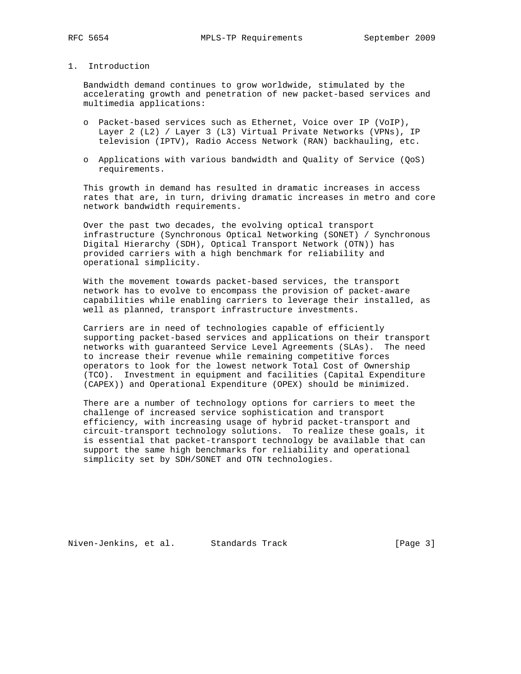# 1. Introduction

 Bandwidth demand continues to grow worldwide, stimulated by the accelerating growth and penetration of new packet-based services and multimedia applications:

- o Packet-based services such as Ethernet, Voice over IP (VoIP), Layer 2 (L2) / Layer 3 (L3) Virtual Private Networks (VPNs), IP television (IPTV), Radio Access Network (RAN) backhauling, etc.
- o Applications with various bandwidth and Quality of Service (QoS) requirements.

 This growth in demand has resulted in dramatic increases in access rates that are, in turn, driving dramatic increases in metro and core network bandwidth requirements.

 Over the past two decades, the evolving optical transport infrastructure (Synchronous Optical Networking (SONET) / Synchronous Digital Hierarchy (SDH), Optical Transport Network (OTN)) has provided carriers with a high benchmark for reliability and operational simplicity.

 With the movement towards packet-based services, the transport network has to evolve to encompass the provision of packet-aware capabilities while enabling carriers to leverage their installed, as well as planned, transport infrastructure investments.

 Carriers are in need of technologies capable of efficiently supporting packet-based services and applications on their transport networks with guaranteed Service Level Agreements (SLAs). The need to increase their revenue while remaining competitive forces operators to look for the lowest network Total Cost of Ownership (TCO). Investment in equipment and facilities (Capital Expenditure (CAPEX)) and Operational Expenditure (OPEX) should be minimized.

 There are a number of technology options for carriers to meet the challenge of increased service sophistication and transport efficiency, with increasing usage of hybrid packet-transport and circuit-transport technology solutions. To realize these goals, it is essential that packet-transport technology be available that can support the same high benchmarks for reliability and operational simplicity set by SDH/SONET and OTN technologies.

Niven-Jenkins, et al. Standards Track [Page 3]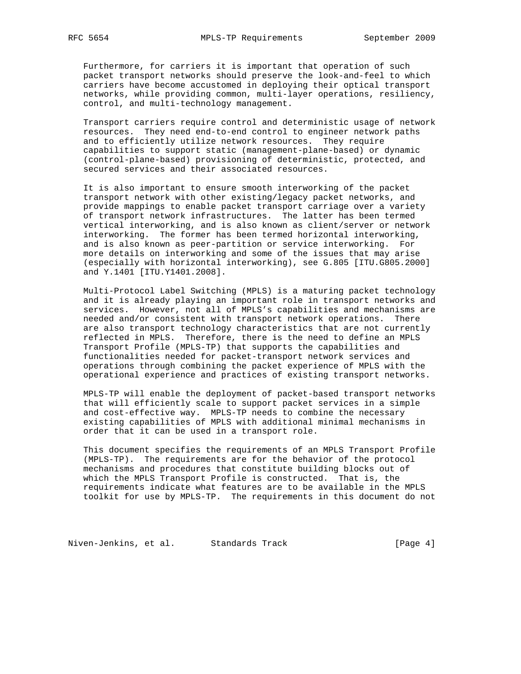Furthermore, for carriers it is important that operation of such packet transport networks should preserve the look-and-feel to which carriers have become accustomed in deploying their optical transport networks, while providing common, multi-layer operations, resiliency, control, and multi-technology management.

 Transport carriers require control and deterministic usage of network resources. They need end-to-end control to engineer network paths and to efficiently utilize network resources. They require capabilities to support static (management-plane-based) or dynamic (control-plane-based) provisioning of deterministic, protected, and secured services and their associated resources.

 It is also important to ensure smooth interworking of the packet transport network with other existing/legacy packet networks, and provide mappings to enable packet transport carriage over a variety of transport network infrastructures. The latter has been termed vertical interworking, and is also known as client/server or network interworking. The former has been termed horizontal interworking, and is also known as peer-partition or service interworking. For more details on interworking and some of the issues that may arise (especially with horizontal interworking), see G.805 [ITU.G805.2000] and Y.1401 [ITU.Y1401.2008].

 Multi-Protocol Label Switching (MPLS) is a maturing packet technology and it is already playing an important role in transport networks and services. However, not all of MPLS's capabilities and mechanisms are needed and/or consistent with transport network operations. There are also transport technology characteristics that are not currently reflected in MPLS. Therefore, there is the need to define an MPLS Transport Profile (MPLS-TP) that supports the capabilities and functionalities needed for packet-transport network services and operations through combining the packet experience of MPLS with the operational experience and practices of existing transport networks.

 MPLS-TP will enable the deployment of packet-based transport networks that will efficiently scale to support packet services in a simple and cost-effective way. MPLS-TP needs to combine the necessary existing capabilities of MPLS with additional minimal mechanisms in order that it can be used in a transport role.

 This document specifies the requirements of an MPLS Transport Profile (MPLS-TP). The requirements are for the behavior of the protocol mechanisms and procedures that constitute building blocks out of which the MPLS Transport Profile is constructed. That is, the requirements indicate what features are to be available in the MPLS toolkit for use by MPLS-TP. The requirements in this document do not

Niven-Jenkins, et al. Standards Track [Page 4]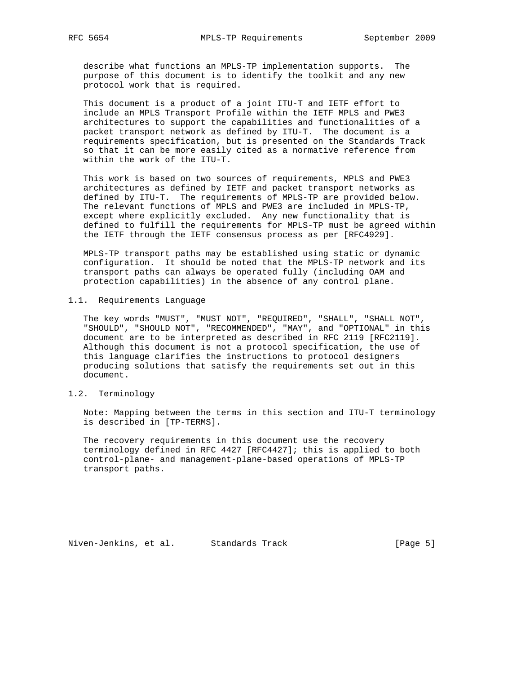describe what functions an MPLS-TP implementation supports. The purpose of this document is to identify the toolkit and any new protocol work that is required.

 This document is a product of a joint ITU-T and IETF effort to include an MPLS Transport Profile within the IETF MPLS and PWE3 architectures to support the capabilities and functionalities of a packet transport network as defined by ITU-T. The document is a requirements specification, but is presented on the Standards Track so that it can be more easily cited as a normative reference from within the work of the ITU-T.

 This work is based on two sources of requirements, MPLS and PWE3 architectures as defined by IETF and packet transport networks as defined by ITU-T. The requirements of MPLS-TP are provided below. The relevant functions of MPLS and PWE3 are included in MPLS-TP, except where explicitly excluded. Any new functionality that is defined to fulfill the requirements for MPLS-TP must be agreed within the IETF through the IETF consensus process as per [RFC4929].

 MPLS-TP transport paths may be established using static or dynamic configuration. It should be noted that the MPLS-TP network and its transport paths can always be operated fully (including OAM and protection capabilities) in the absence of any control plane.

## 1.1. Requirements Language

 The key words "MUST", "MUST NOT", "REQUIRED", "SHALL", "SHALL NOT", "SHOULD", "SHOULD NOT", "RECOMMENDED", "MAY", and "OPTIONAL" in this document are to be interpreted as described in RFC 2119 [RFC2119]. Although this document is not a protocol specification, the use of this language clarifies the instructions to protocol designers producing solutions that satisfy the requirements set out in this document.

# 1.2. Terminology

 Note: Mapping between the terms in this section and ITU-T terminology is described in [TP-TERMS].

 The recovery requirements in this document use the recovery terminology defined in RFC 4427 [RFC4427]; this is applied to both control-plane- and management-plane-based operations of MPLS-TP transport paths.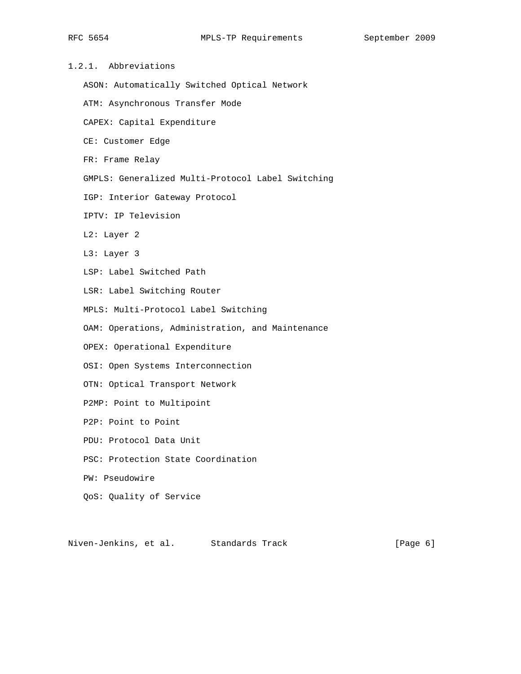| 1.2.1. |  | Abbreviations |
|--------|--|---------------|
|        |  |               |

ASON: Automatically Switched Optical Network

ATM: Asynchronous Transfer Mode

CAPEX: Capital Expenditure

CE: Customer Edge

FR: Frame Relay

GMPLS: Generalized Multi-Protocol Label Switching

IGP: Interior Gateway Protocol

IPTV: IP Television

L2: Layer 2

L3: Layer 3

LSP: Label Switched Path

LSR: Label Switching Router

MPLS: Multi-Protocol Label Switching

OAM: Operations, Administration, and Maintenance

OPEX: Operational Expenditure

OSI: Open Systems Interconnection

OTN: Optical Transport Network

P2MP: Point to Multipoint

P2P: Point to Point

PDU: Protocol Data Unit

PSC: Protection State Coordination

PW: Pseudowire

QoS: Quality of Service

Niven-Jenkins, et al. Standards Track (Page 6)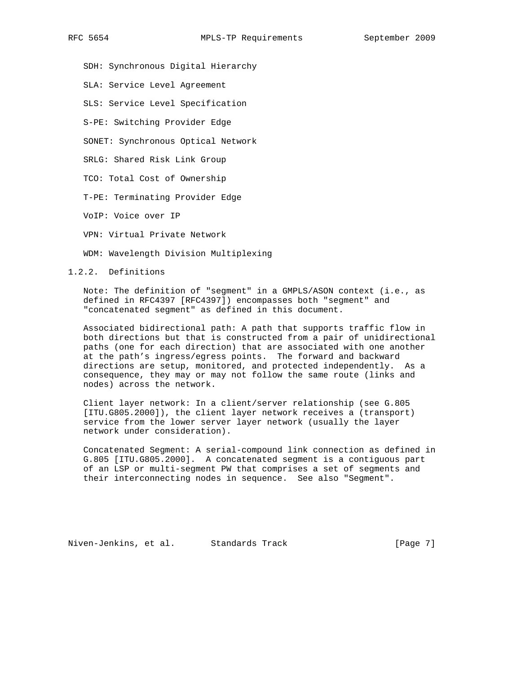SDH: Synchronous Digital Hierarchy

SLA: Service Level Agreement

SLS: Service Level Specification

S-PE: Switching Provider Edge

SONET: Synchronous Optical Network

SRLG: Shared Risk Link Group

TCO: Total Cost of Ownership

T-PE: Terminating Provider Edge

VoIP: Voice over IP

VPN: Virtual Private Network

WDM: Wavelength Division Multiplexing

1.2.2. Definitions

 Note: The definition of "segment" in a GMPLS/ASON context (i.e., as defined in RFC4397 [RFC4397]) encompasses both "segment" and "concatenated segment" as defined in this document.

 Associated bidirectional path: A path that supports traffic flow in both directions but that is constructed from a pair of unidirectional paths (one for each direction) that are associated with one another at the path's ingress/egress points. The forward and backward directions are setup, monitored, and protected independently. As a consequence, they may or may not follow the same route (links and nodes) across the network.

 Client layer network: In a client/server relationship (see G.805 [ITU.G805.2000]), the client layer network receives a (transport) service from the lower server layer network (usually the layer network under consideration).

 Concatenated Segment: A serial-compound link connection as defined in G.805 [ITU.G805.2000]. A concatenated segment is a contiguous part of an LSP or multi-segment PW that comprises a set of segments and their interconnecting nodes in sequence. See also "Segment".

Niven-Jenkins, et al. Standards Track [Page 7]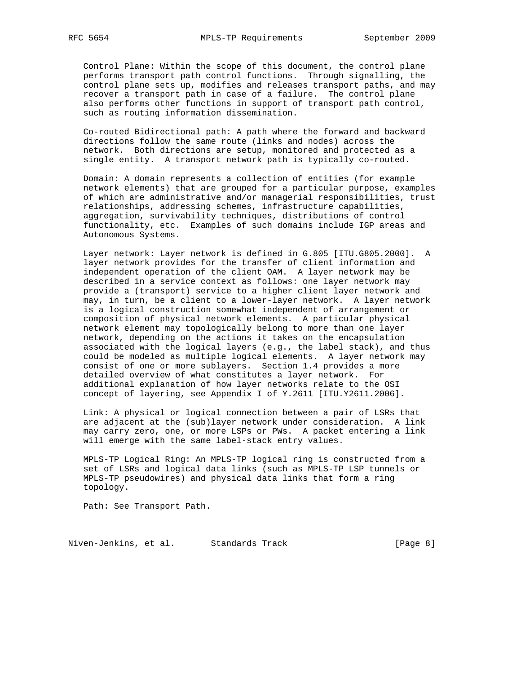Control Plane: Within the scope of this document, the control plane performs transport path control functions. Through signalling, the control plane sets up, modifies and releases transport paths, and may recover a transport path in case of a failure. The control plane also performs other functions in support of transport path control, such as routing information dissemination.

 Co-routed Bidirectional path: A path where the forward and backward directions follow the same route (links and nodes) across the network. Both directions are setup, monitored and protected as a single entity. A transport network path is typically co-routed.

 Domain: A domain represents a collection of entities (for example network elements) that are grouped for a particular purpose, examples of which are administrative and/or managerial responsibilities, trust relationships, addressing schemes, infrastructure capabilities, aggregation, survivability techniques, distributions of control functionality, etc. Examples of such domains include IGP areas and Autonomous Systems.

 Layer network: Layer network is defined in G.805 [ITU.G805.2000]. A layer network provides for the transfer of client information and independent operation of the client OAM. A layer network may be described in a service context as follows: one layer network may provide a (transport) service to a higher client layer network and may, in turn, be a client to a lower-layer network. A layer network is a logical construction somewhat independent of arrangement or composition of physical network elements. A particular physical network element may topologically belong to more than one layer network, depending on the actions it takes on the encapsulation associated with the logical layers (e.g., the label stack), and thus could be modeled as multiple logical elements. A layer network may consist of one or more sublayers. Section 1.4 provides a more detailed overview of what constitutes a layer network. For additional explanation of how layer networks relate to the OSI concept of layering, see Appendix I of Y.2611 [ITU.Y2611.2006].

 Link: A physical or logical connection between a pair of LSRs that are adjacent at the (sub)layer network under consideration. A link may carry zero, one, or more LSPs or PWs. A packet entering a link will emerge with the same label-stack entry values.

 MPLS-TP Logical Ring: An MPLS-TP logical ring is constructed from a set of LSRs and logical data links (such as MPLS-TP LSP tunnels or MPLS-TP pseudowires) and physical data links that form a ring topology.

Path: See Transport Path.

Niven-Jenkins, et al. Standards Track [Page 8]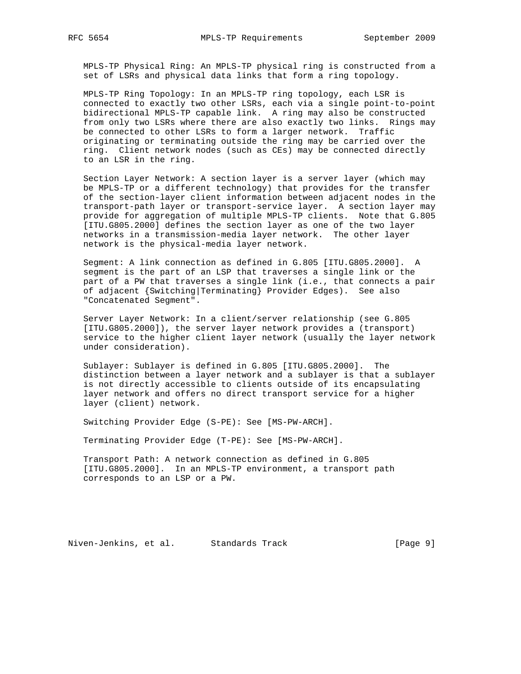MPLS-TP Physical Ring: An MPLS-TP physical ring is constructed from a set of LSRs and physical data links that form a ring topology.

 MPLS-TP Ring Topology: In an MPLS-TP ring topology, each LSR is connected to exactly two other LSRs, each via a single point-to-point bidirectional MPLS-TP capable link. A ring may also be constructed from only two LSRs where there are also exactly two links. Rings may be connected to other LSRs to form a larger network. Traffic originating or terminating outside the ring may be carried over the ring. Client network nodes (such as CEs) may be connected directly to an LSR in the ring.

 Section Layer Network: A section layer is a server layer (which may be MPLS-TP or a different technology) that provides for the transfer of the section-layer client information between adjacent nodes in the transport-path layer or transport-service layer. A section layer may provide for aggregation of multiple MPLS-TP clients. Note that G.805 [ITU.G805.2000] defines the section layer as one of the two layer networks in a transmission-media layer network. The other layer network is the physical-media layer network.

 Segment: A link connection as defined in G.805 [ITU.G805.2000]. A segment is the part of an LSP that traverses a single link or the part of a PW that traverses a single link (i.e., that connects a pair of adjacent {Switching|Terminating} Provider Edges). See also "Concatenated Segment".

 Server Layer Network: In a client/server relationship (see G.805 [ITU.G805.2000]), the server layer network provides a (transport) service to the higher client layer network (usually the layer network under consideration).

 Sublayer: Sublayer is defined in G.805 [ITU.G805.2000]. The distinction between a layer network and a sublayer is that a sublayer is not directly accessible to clients outside of its encapsulating layer network and offers no direct transport service for a higher layer (client) network.

Switching Provider Edge (S-PE): See [MS-PW-ARCH].

Terminating Provider Edge (T-PE): See [MS-PW-ARCH].

 Transport Path: A network connection as defined in G.805 [ITU.G805.2000]. In an MPLS-TP environment, a transport path corresponds to an LSP or a PW.

Niven-Jenkins, et al. Standards Track [Page 9]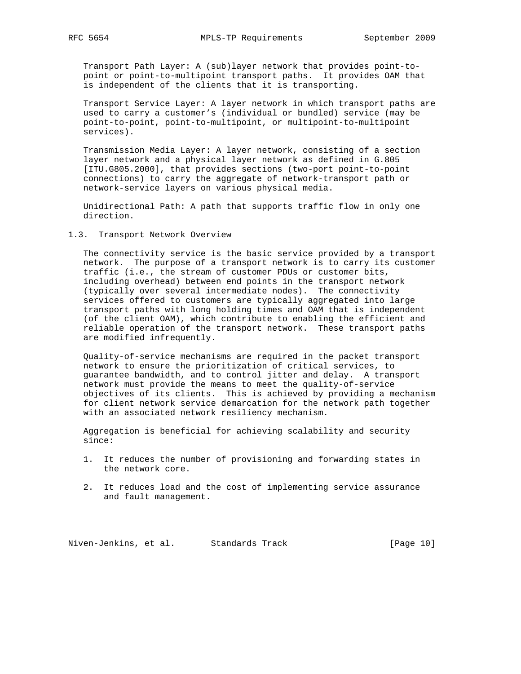Transport Path Layer: A (sub)layer network that provides point-to point or point-to-multipoint transport paths. It provides OAM that is independent of the clients that it is transporting.

 Transport Service Layer: A layer network in which transport paths are used to carry a customer's (individual or bundled) service (may be point-to-point, point-to-multipoint, or multipoint-to-multipoint services).

 Transmission Media Layer: A layer network, consisting of a section layer network and a physical layer network as defined in G.805 [ITU.G805.2000], that provides sections (two-port point-to-point connections) to carry the aggregate of network-transport path or network-service layers on various physical media.

 Unidirectional Path: A path that supports traffic flow in only one direction.

### 1.3. Transport Network Overview

 The connectivity service is the basic service provided by a transport network. The purpose of a transport network is to carry its customer traffic (i.e., the stream of customer PDUs or customer bits, including overhead) between end points in the transport network (typically over several intermediate nodes). The connectivity services offered to customers are typically aggregated into large transport paths with long holding times and OAM that is independent (of the client OAM), which contribute to enabling the efficient and reliable operation of the transport network. These transport paths are modified infrequently.

 Quality-of-service mechanisms are required in the packet transport network to ensure the prioritization of critical services, to guarantee bandwidth, and to control jitter and delay. A transport network must provide the means to meet the quality-of-service objectives of its clients. This is achieved by providing a mechanism for client network service demarcation for the network path together with an associated network resiliency mechanism.

 Aggregation is beneficial for achieving scalability and security since:

- 1. It reduces the number of provisioning and forwarding states in the network core.
- 2. It reduces load and the cost of implementing service assurance and fault management.

Niven-Jenkins, et al. Standards Track [Page 10]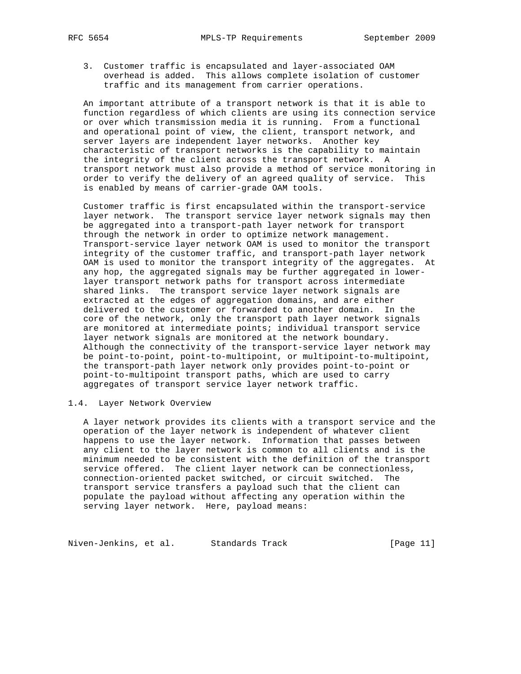3. Customer traffic is encapsulated and layer-associated OAM overhead is added. This allows complete isolation of customer traffic and its management from carrier operations.

 An important attribute of a transport network is that it is able to function regardless of which clients are using its connection service or over which transmission media it is running. From a functional and operational point of view, the client, transport network, and server layers are independent layer networks. Another key characteristic of transport networks is the capability to maintain the integrity of the client across the transport network. A transport network must also provide a method of service monitoring in order to verify the delivery of an agreed quality of service. This is enabled by means of carrier-grade OAM tools.

 Customer traffic is first encapsulated within the transport-service layer network. The transport service layer network signals may then be aggregated into a transport-path layer network for transport through the network in order to optimize network management. Transport-service layer network OAM is used to monitor the transport integrity of the customer traffic, and transport-path layer network OAM is used to monitor the transport integrity of the aggregates. At any hop, the aggregated signals may be further aggregated in lower layer transport network paths for transport across intermediate shared links. The transport service layer network signals are extracted at the edges of aggregation domains, and are either delivered to the customer or forwarded to another domain. In the core of the network, only the transport path layer network signals are monitored at intermediate points; individual transport service layer network signals are monitored at the network boundary. Although the connectivity of the transport-service layer network may be point-to-point, point-to-multipoint, or multipoint-to-multipoint, the transport-path layer network only provides point-to-point or point-to-multipoint transport paths, which are used to carry aggregates of transport service layer network traffic.

## 1.4. Layer Network Overview

 A layer network provides its clients with a transport service and the operation of the layer network is independent of whatever client happens to use the layer network. Information that passes between any client to the layer network is common to all clients and is the minimum needed to be consistent with the definition of the transport service offered. The client layer network can be connectionless, connection-oriented packet switched, or circuit switched. The transport service transfers a payload such that the client can populate the payload without affecting any operation within the serving layer network. Here, payload means:

Niven-Jenkins, et al. Standards Track [Page 11]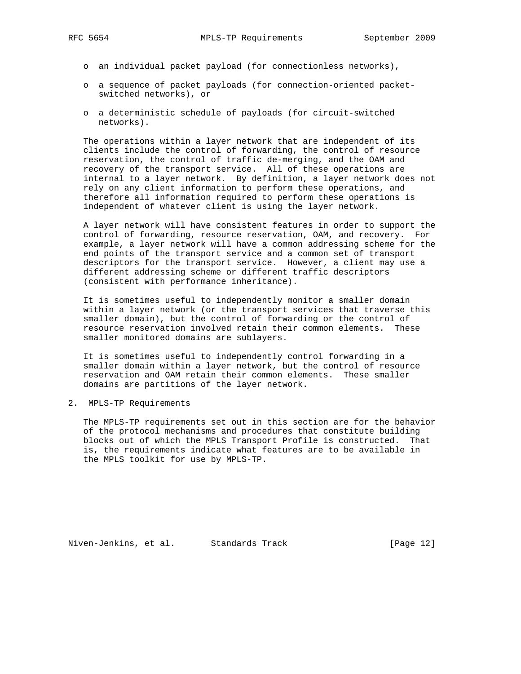- o an individual packet payload (for connectionless networks),
- o a sequence of packet payloads (for connection-oriented packet switched networks), or
- o a deterministic schedule of payloads (for circuit-switched networks).

 The operations within a layer network that are independent of its clients include the control of forwarding, the control of resource reservation, the control of traffic de-merging, and the OAM and recovery of the transport service. All of these operations are internal to a layer network. By definition, a layer network does not rely on any client information to perform these operations, and therefore all information required to perform these operations is independent of whatever client is using the layer network.

 A layer network will have consistent features in order to support the control of forwarding, resource reservation, OAM, and recovery. For example, a layer network will have a common addressing scheme for the end points of the transport service and a common set of transport descriptors for the transport service. However, a client may use a different addressing scheme or different traffic descriptors (consistent with performance inheritance).

 It is sometimes useful to independently monitor a smaller domain within a layer network (or the transport services that traverse this smaller domain), but the control of forwarding or the control of resource reservation involved retain their common elements. These smaller monitored domains are sublayers.

 It is sometimes useful to independently control forwarding in a smaller domain within a layer network, but the control of resource reservation and OAM retain their common elements. These smaller domains are partitions of the layer network.

2. MPLS-TP Requirements

 The MPLS-TP requirements set out in this section are for the behavior of the protocol mechanisms and procedures that constitute building blocks out of which the MPLS Transport Profile is constructed. That is, the requirements indicate what features are to be available in the MPLS toolkit for use by MPLS-TP.

Niven-Jenkins, et al. Standards Track [Page 12]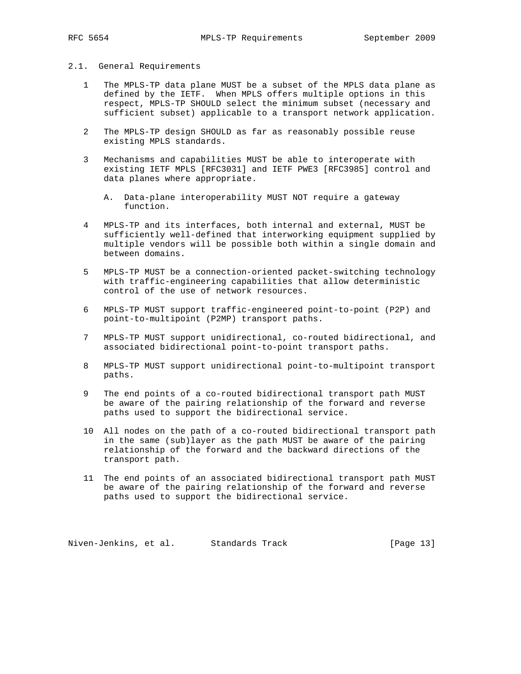#### 2.1. General Requirements

- 1 The MPLS-TP data plane MUST be a subset of the MPLS data plane as defined by the IETF. When MPLS offers multiple options in this respect, MPLS-TP SHOULD select the minimum subset (necessary and sufficient subset) applicable to a transport network application.
- 2 The MPLS-TP design SHOULD as far as reasonably possible reuse existing MPLS standards.
- 3 Mechanisms and capabilities MUST be able to interoperate with existing IETF MPLS [RFC3031] and IETF PWE3 [RFC3985] control and data planes where appropriate.
	- A. Data-plane interoperability MUST NOT require a gateway function.
- 4 MPLS-TP and its interfaces, both internal and external, MUST be sufficiently well-defined that interworking equipment supplied by multiple vendors will be possible both within a single domain and between domains.
- 5 MPLS-TP MUST be a connection-oriented packet-switching technology with traffic-engineering capabilities that allow deterministic control of the use of network resources.
- 6 MPLS-TP MUST support traffic-engineered point-to-point (P2P) and point-to-multipoint (P2MP) transport paths.
- 7 MPLS-TP MUST support unidirectional, co-routed bidirectional, and associated bidirectional point-to-point transport paths.
- 8 MPLS-TP MUST support unidirectional point-to-multipoint transport paths.
- 9 The end points of a co-routed bidirectional transport path MUST be aware of the pairing relationship of the forward and reverse paths used to support the bidirectional service.
- 10 All nodes on the path of a co-routed bidirectional transport path in the same (sub)layer as the path MUST be aware of the pairing relationship of the forward and the backward directions of the transport path.
- 11 The end points of an associated bidirectional transport path MUST be aware of the pairing relationship of the forward and reverse paths used to support the bidirectional service.

Niven-Jenkins, et al. Standards Track [Page 13]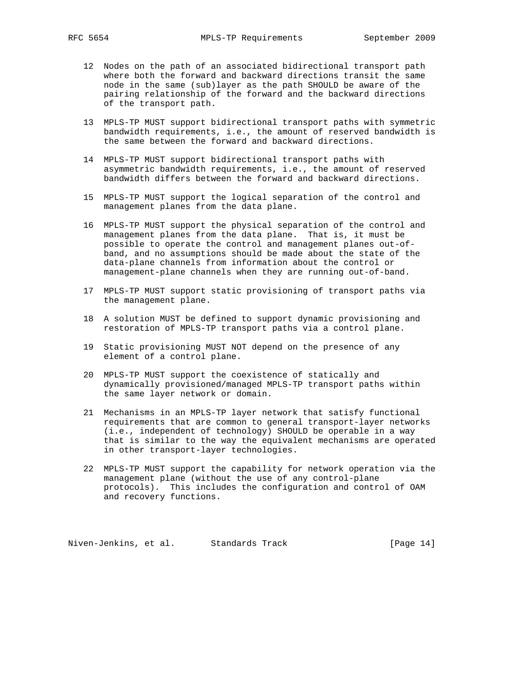- 12 Nodes on the path of an associated bidirectional transport path where both the forward and backward directions transit the same node in the same (sub)layer as the path SHOULD be aware of the pairing relationship of the forward and the backward directions of the transport path.
- 13 MPLS-TP MUST support bidirectional transport paths with symmetric bandwidth requirements, i.e., the amount of reserved bandwidth is the same between the forward and backward directions.
- 14 MPLS-TP MUST support bidirectional transport paths with asymmetric bandwidth requirements, i.e., the amount of reserved bandwidth differs between the forward and backward directions.
- 15 MPLS-TP MUST support the logical separation of the control and management planes from the data plane.
- 16 MPLS-TP MUST support the physical separation of the control and management planes from the data plane. That is, it must be possible to operate the control and management planes out-of band, and no assumptions should be made about the state of the data-plane channels from information about the control or management-plane channels when they are running out-of-band.
- 17 MPLS-TP MUST support static provisioning of transport paths via the management plane.
- 18 A solution MUST be defined to support dynamic provisioning and restoration of MPLS-TP transport paths via a control plane.
- 19 Static provisioning MUST NOT depend on the presence of any element of a control plane.
- 20 MPLS-TP MUST support the coexistence of statically and dynamically provisioned/managed MPLS-TP transport paths within the same layer network or domain.
- 21 Mechanisms in an MPLS-TP layer network that satisfy functional requirements that are common to general transport-layer networks (i.e., independent of technology) SHOULD be operable in a way that is similar to the way the equivalent mechanisms are operated in other transport-layer technologies.
- 22 MPLS-TP MUST support the capability for network operation via the management plane (without the use of any control-plane protocols). This includes the configuration and control of OAM and recovery functions.

Niven-Jenkins, et al. Standards Track [Page 14]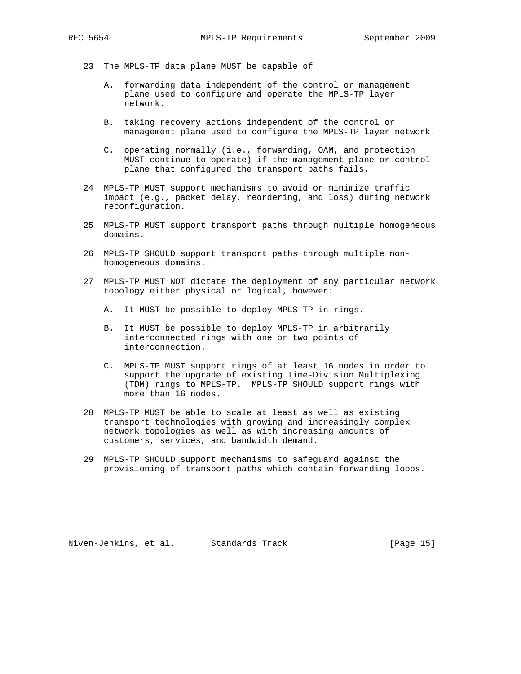- 23 The MPLS-TP data plane MUST be capable of
	- A. forwarding data independent of the control or management plane used to configure and operate the MPLS-TP layer network.
	- B. taking recovery actions independent of the control or management plane used to configure the MPLS-TP layer network.
	- C. operating normally (i.e., forwarding, OAM, and protection MUST continue to operate) if the management plane or control plane that configured the transport paths fails.
- 24 MPLS-TP MUST support mechanisms to avoid or minimize traffic impact (e.g., packet delay, reordering, and loss) during network reconfiguration.
- 25 MPLS-TP MUST support transport paths through multiple homogeneous domains.
- 26 MPLS-TP SHOULD support transport paths through multiple non homogeneous domains.
- 27 MPLS-TP MUST NOT dictate the deployment of any particular network topology either physical or logical, however:
	- A. It MUST be possible to deploy MPLS-TP in rings.
	- B. It MUST be possible to deploy MPLS-TP in arbitrarily interconnected rings with one or two points of interconnection.
	- C. MPLS-TP MUST support rings of at least 16 nodes in order to support the upgrade of existing Time-Division Multiplexing (TDM) rings to MPLS-TP. MPLS-TP SHOULD support rings with more than 16 nodes.
- 28 MPLS-TP MUST be able to scale at least as well as existing transport technologies with growing and increasingly complex network topologies as well as with increasing amounts of customers, services, and bandwidth demand.
- 29 MPLS-TP SHOULD support mechanisms to safeguard against the provisioning of transport paths which contain forwarding loops.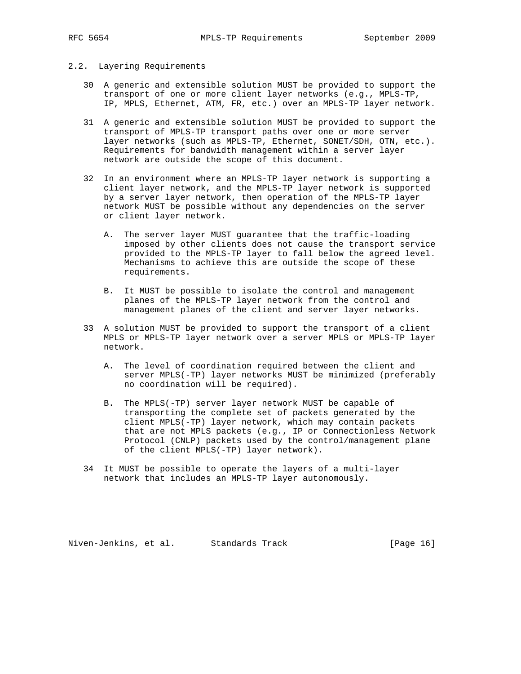- 2.2. Layering Requirements
	- 30 A generic and extensible solution MUST be provided to support the transport of one or more client layer networks (e.g., MPLS-TP, IP, MPLS, Ethernet, ATM, FR, etc.) over an MPLS-TP layer network.
	- 31 A generic and extensible solution MUST be provided to support the transport of MPLS-TP transport paths over one or more server layer networks (such as MPLS-TP, Ethernet, SONET/SDH, OTN, etc.). Requirements for bandwidth management within a server layer network are outside the scope of this document.
	- 32 In an environment where an MPLS-TP layer network is supporting a client layer network, and the MPLS-TP layer network is supported by a server layer network, then operation of the MPLS-TP layer network MUST be possible without any dependencies on the server or client layer network.
		- A. The server layer MUST guarantee that the traffic-loading imposed by other clients does not cause the transport service provided to the MPLS-TP layer to fall below the agreed level. Mechanisms to achieve this are outside the scope of these requirements.
		- B. It MUST be possible to isolate the control and management planes of the MPLS-TP layer network from the control and management planes of the client and server layer networks.
	- 33 A solution MUST be provided to support the transport of a client MPLS or MPLS-TP layer network over a server MPLS or MPLS-TP layer network.
		- A. The level of coordination required between the client and server MPLS(-TP) layer networks MUST be minimized (preferably no coordination will be required).
		- B. The MPLS(-TP) server layer network MUST be capable of transporting the complete set of packets generated by the client MPLS(-TP) layer network, which may contain packets that are not MPLS packets (e.g., IP or Connectionless Network Protocol (CNLP) packets used by the control/management plane of the client MPLS(-TP) layer network).
	- 34 It MUST be possible to operate the layers of a multi-layer network that includes an MPLS-TP layer autonomously.

Niven-Jenkins, et al. Standards Track [Page 16]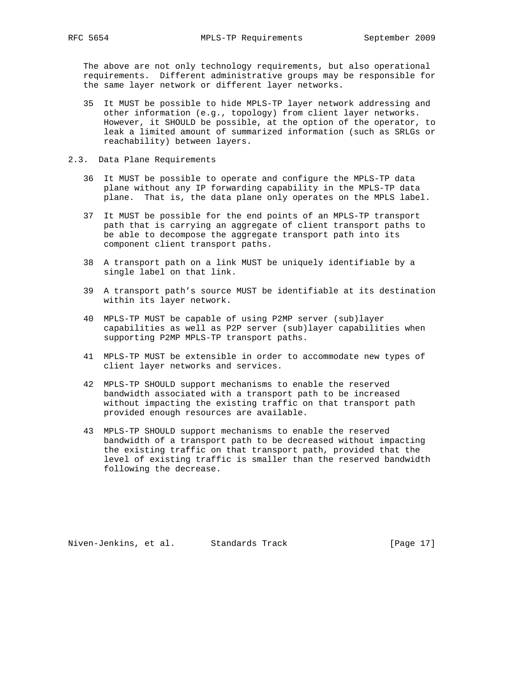The above are not only technology requirements, but also operational requirements. Different administrative groups may be responsible for the same layer network or different layer networks.

- 35 It MUST be possible to hide MPLS-TP layer network addressing and other information (e.g., topology) from client layer networks. However, it SHOULD be possible, at the option of the operator, to leak a limited amount of summarized information (such as SRLGs or reachability) between layers.
- 2.3. Data Plane Requirements
	- 36 It MUST be possible to operate and configure the MPLS-TP data plane without any IP forwarding capability in the MPLS-TP data plane. That is, the data plane only operates on the MPLS label.
	- 37 It MUST be possible for the end points of an MPLS-TP transport path that is carrying an aggregate of client transport paths to be able to decompose the aggregate transport path into its component client transport paths.
	- 38 A transport path on a link MUST be uniquely identifiable by a single label on that link.
	- 39 A transport path's source MUST be identifiable at its destination within its layer network.
	- 40 MPLS-TP MUST be capable of using P2MP server (sub)layer capabilities as well as P2P server (sub)layer capabilities when supporting P2MP MPLS-TP transport paths.
	- 41 MPLS-TP MUST be extensible in order to accommodate new types of client layer networks and services.
	- 42 MPLS-TP SHOULD support mechanisms to enable the reserved bandwidth associated with a transport path to be increased without impacting the existing traffic on that transport path provided enough resources are available.
	- 43 MPLS-TP SHOULD support mechanisms to enable the reserved bandwidth of a transport path to be decreased without impacting the existing traffic on that transport path, provided that the level of existing traffic is smaller than the reserved bandwidth following the decrease.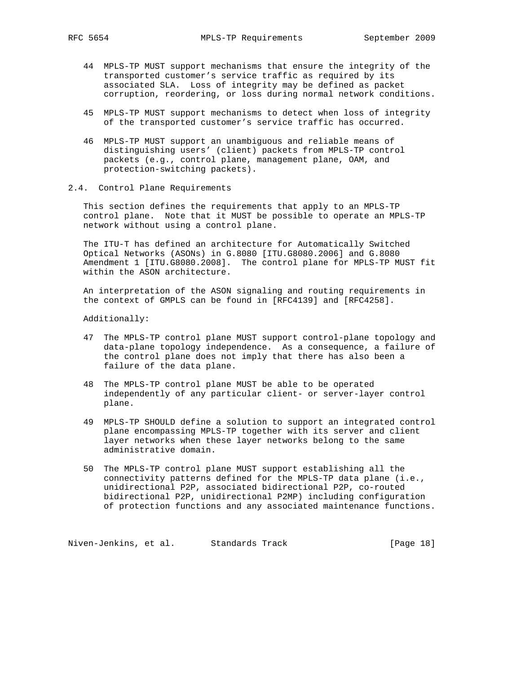- 44 MPLS-TP MUST support mechanisms that ensure the integrity of the transported customer's service traffic as required by its associated SLA. Loss of integrity may be defined as packet corruption, reordering, or loss during normal network conditions.
- 45 MPLS-TP MUST support mechanisms to detect when loss of integrity of the transported customer's service traffic has occurred.
- 46 MPLS-TP MUST support an unambiguous and reliable means of distinguishing users' (client) packets from MPLS-TP control packets (e.g., control plane, management plane, OAM, and protection-switching packets).
- 2.4. Control Plane Requirements

 This section defines the requirements that apply to an MPLS-TP control plane. Note that it MUST be possible to operate an MPLS-TP network without using a control plane.

 The ITU-T has defined an architecture for Automatically Switched Optical Networks (ASONs) in G.8080 [ITU.G8080.2006] and G.8080 Amendment 1 [ITU.G8080.2008]. The control plane for MPLS-TP MUST fit within the ASON architecture.

 An interpretation of the ASON signaling and routing requirements in the context of GMPLS can be found in [RFC4139] and [RFC4258].

Additionally:

- 47 The MPLS-TP control plane MUST support control-plane topology and data-plane topology independence. As a consequence, a failure of the control plane does not imply that there has also been a failure of the data plane.
- 48 The MPLS-TP control plane MUST be able to be operated independently of any particular client- or server-layer control plane.
- 49 MPLS-TP SHOULD define a solution to support an integrated control plane encompassing MPLS-TP together with its server and client layer networks when these layer networks belong to the same administrative domain.
- 50 The MPLS-TP control plane MUST support establishing all the connectivity patterns defined for the MPLS-TP data plane (i.e., unidirectional P2P, associated bidirectional P2P, co-routed bidirectional P2P, unidirectional P2MP) including configuration of protection functions and any associated maintenance functions.

Niven-Jenkins, et al. Standards Track [Page 18]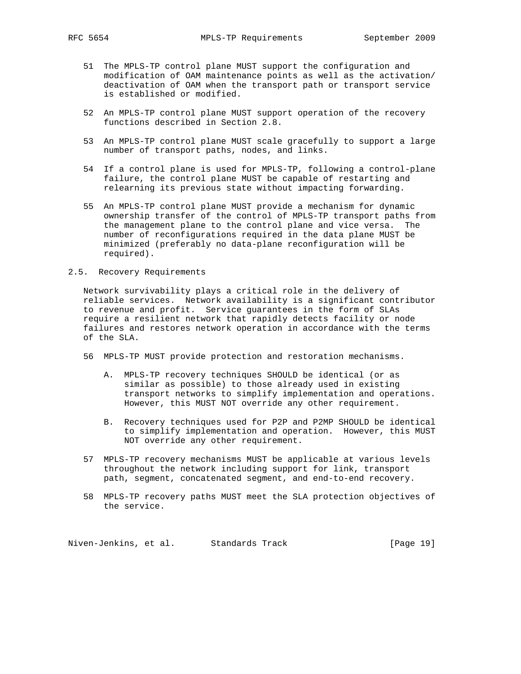- 51 The MPLS-TP control plane MUST support the configuration and modification of OAM maintenance points as well as the activation/ deactivation of OAM when the transport path or transport service is established or modified.
- 52 An MPLS-TP control plane MUST support operation of the recovery functions described in Section 2.8.
- 53 An MPLS-TP control plane MUST scale gracefully to support a large number of transport paths, nodes, and links.
- 54 If a control plane is used for MPLS-TP, following a control-plane failure, the control plane MUST be capable of restarting and relearning its previous state without impacting forwarding.
- 55 An MPLS-TP control plane MUST provide a mechanism for dynamic ownership transfer of the control of MPLS-TP transport paths from the management plane to the control plane and vice versa. The number of reconfigurations required in the data plane MUST be minimized (preferably no data-plane reconfiguration will be required).
- 2.5. Recovery Requirements

 Network survivability plays a critical role in the delivery of reliable services. Network availability is a significant contributor to revenue and profit. Service guarantees in the form of SLAs require a resilient network that rapidly detects facility or node failures and restores network operation in accordance with the terms of the SLA.

- 56 MPLS-TP MUST provide protection and restoration mechanisms.
	- A. MPLS-TP recovery techniques SHOULD be identical (or as similar as possible) to those already used in existing transport networks to simplify implementation and operations. However, this MUST NOT override any other requirement.
	- B. Recovery techniques used for P2P and P2MP SHOULD be identical to simplify implementation and operation. However, this MUST NOT override any other requirement.
- 57 MPLS-TP recovery mechanisms MUST be applicable at various levels throughout the network including support for link, transport path, segment, concatenated segment, and end-to-end recovery.
- 58 MPLS-TP recovery paths MUST meet the SLA protection objectives of the service.

Niven-Jenkins, et al. Standards Track [Page 19]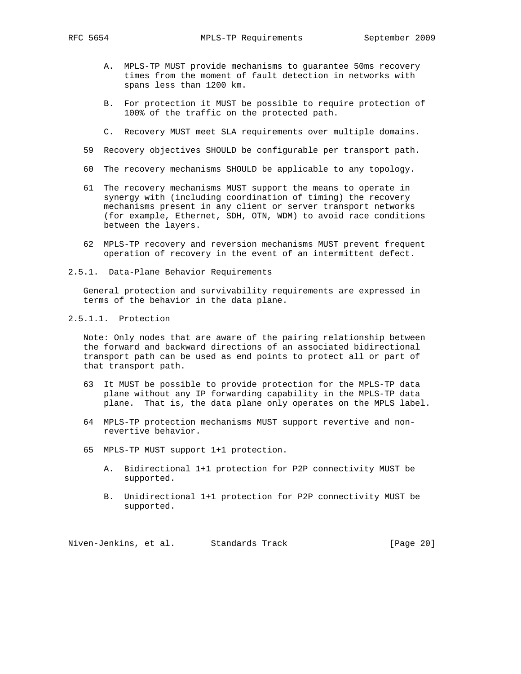- A. MPLS-TP MUST provide mechanisms to guarantee 50ms recovery times from the moment of fault detection in networks with spans less than 1200 km.
- B. For protection it MUST be possible to require protection of 100% of the traffic on the protected path.
- C. Recovery MUST meet SLA requirements over multiple domains.
- 59 Recovery objectives SHOULD be configurable per transport path.
- 60 The recovery mechanisms SHOULD be applicable to any topology.
- 61 The recovery mechanisms MUST support the means to operate in synergy with (including coordination of timing) the recovery mechanisms present in any client or server transport networks (for example, Ethernet, SDH, OTN, WDM) to avoid race conditions between the layers.
- 62 MPLS-TP recovery and reversion mechanisms MUST prevent frequent operation of recovery in the event of an intermittent defect.
- 2.5.1. Data-Plane Behavior Requirements

 General protection and survivability requirements are expressed in terms of the behavior in the data plane.

2.5.1.1. Protection

 Note: Only nodes that are aware of the pairing relationship between the forward and backward directions of an associated bidirectional transport path can be used as end points to protect all or part of that transport path.

- 63 It MUST be possible to provide protection for the MPLS-TP data plane without any IP forwarding capability in the MPLS-TP data plane. That is, the data plane only operates on the MPLS label.
- 64 MPLS-TP protection mechanisms MUST support revertive and non revertive behavior.
- 65 MPLS-TP MUST support 1+1 protection.
	- A. Bidirectional 1+1 protection for P2P connectivity MUST be supported.
	- B. Unidirectional 1+1 protection for P2P connectivity MUST be supported.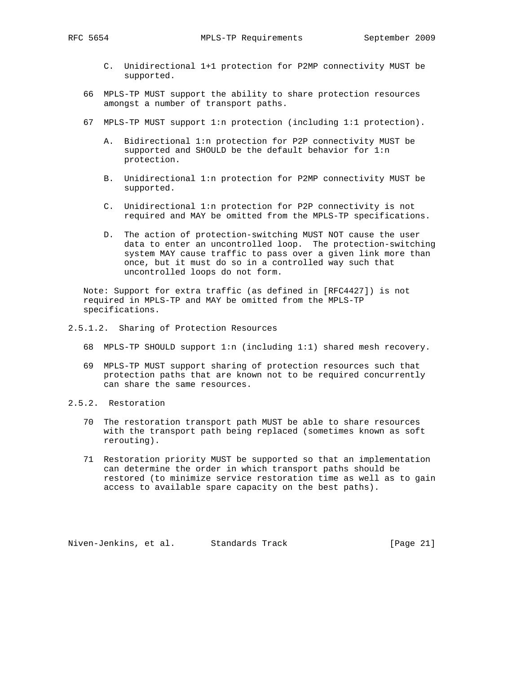- C. Unidirectional 1+1 protection for P2MP connectivity MUST be supported.
- 66 MPLS-TP MUST support the ability to share protection resources amongst a number of transport paths.
- 67 MPLS-TP MUST support 1:n protection (including 1:1 protection).
	- A. Bidirectional 1:n protection for P2P connectivity MUST be supported and SHOULD be the default behavior for 1:n protection.
	- B. Unidirectional 1:n protection for P2MP connectivity MUST be supported.
	- C. Unidirectional 1:n protection for P2P connectivity is not required and MAY be omitted from the MPLS-TP specifications.
	- D. The action of protection-switching MUST NOT cause the user data to enter an uncontrolled loop. The protection-switching system MAY cause traffic to pass over a given link more than once, but it must do so in a controlled way such that uncontrolled loops do not form.

 Note: Support for extra traffic (as defined in [RFC4427]) is not required in MPLS-TP and MAY be omitted from the MPLS-TP specifications.

- 2.5.1.2. Sharing of Protection Resources
	- 68 MPLS-TP SHOULD support 1:n (including 1:1) shared mesh recovery.
	- 69 MPLS-TP MUST support sharing of protection resources such that protection paths that are known not to be required concurrently can share the same resources.
- 2.5.2. Restoration
	- 70 The restoration transport path MUST be able to share resources with the transport path being replaced (sometimes known as soft rerouting).
	- 71 Restoration priority MUST be supported so that an implementation can determine the order in which transport paths should be restored (to minimize service restoration time as well as to gain access to available spare capacity on the best paths).

Niven-Jenkins, et al. Standards Track [Page 21]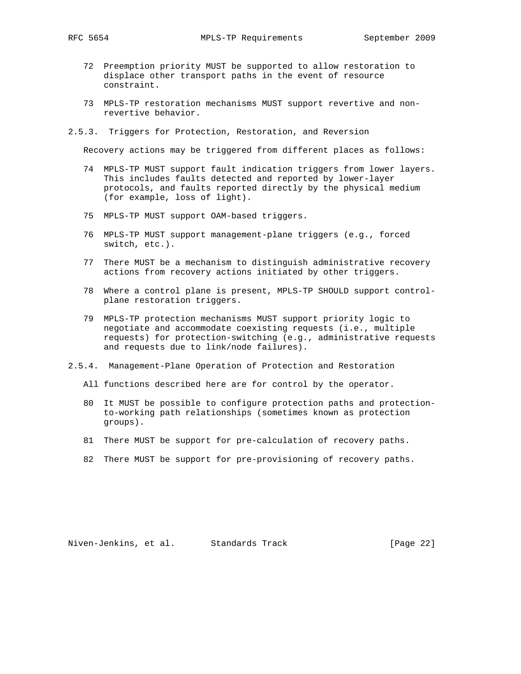- 72 Preemption priority MUST be supported to allow restoration to displace other transport paths in the event of resource constraint.
- 73 MPLS-TP restoration mechanisms MUST support revertive and non revertive behavior.
- 2.5.3. Triggers for Protection, Restoration, and Reversion

Recovery actions may be triggered from different places as follows:

- 74 MPLS-TP MUST support fault indication triggers from lower layers. This includes faults detected and reported by lower-layer protocols, and faults reported directly by the physical medium (for example, loss of light).
- 75 MPLS-TP MUST support OAM-based triggers.
- 76 MPLS-TP MUST support management-plane triggers (e.g., forced switch, etc.).
- 77 There MUST be a mechanism to distinguish administrative recovery actions from recovery actions initiated by other triggers.
- 78 Where a control plane is present, MPLS-TP SHOULD support control plane restoration triggers.
- 79 MPLS-TP protection mechanisms MUST support priority logic to negotiate and accommodate coexisting requests (i.e., multiple requests) for protection-switching (e.g., administrative requests and requests due to link/node failures).
- 2.5.4. Management-Plane Operation of Protection and Restoration
	- All functions described here are for control by the operator.
	- 80 It MUST be possible to configure protection paths and protection to-working path relationships (sometimes known as protection groups).
	- 81 There MUST be support for pre-calculation of recovery paths.
	- 82 There MUST be support for pre-provisioning of recovery paths.

Niven-Jenkins, et al. Standards Track [Page 22]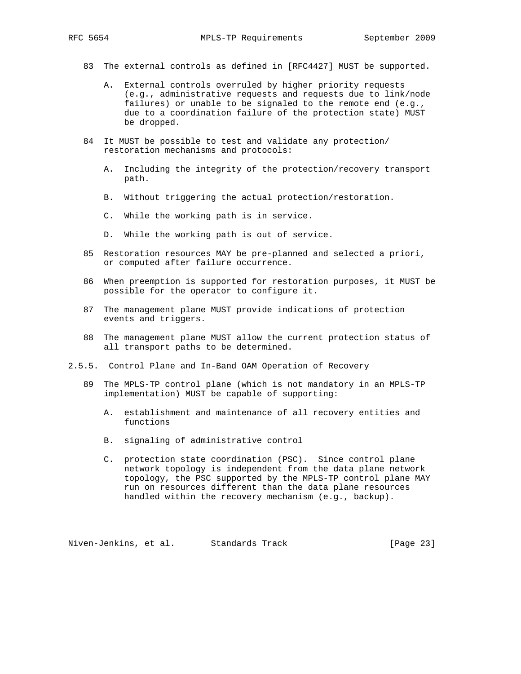- 83 The external controls as defined in [RFC4427] MUST be supported.
	- A. External controls overruled by higher priority requests (e.g., administrative requests and requests due to link/node failures) or unable to be signaled to the remote end (e.g., due to a coordination failure of the protection state) MUST be dropped.
- 84 It MUST be possible to test and validate any protection/ restoration mechanisms and protocols:
	- A. Including the integrity of the protection/recovery transport path.
	- B. Without triggering the actual protection/restoration.
	- C. While the working path is in service.
	- D. While the working path is out of service.
- 85 Restoration resources MAY be pre-planned and selected a priori, or computed after failure occurrence.
- 86 When preemption is supported for restoration purposes, it MUST be possible for the operator to configure it.
- 87 The management plane MUST provide indications of protection events and triggers.
- 88 The management plane MUST allow the current protection status of all transport paths to be determined.
- 2.5.5. Control Plane and In-Band OAM Operation of Recovery
	- 89 The MPLS-TP control plane (which is not mandatory in an MPLS-TP implementation) MUST be capable of supporting:
		- A. establishment and maintenance of all recovery entities and functions
		- B. signaling of administrative control
		- C. protection state coordination (PSC). Since control plane network topology is independent from the data plane network topology, the PSC supported by the MPLS-TP control plane MAY run on resources different than the data plane resources handled within the recovery mechanism (e.g., backup).

Niven-Jenkins, et al. Standards Track [Page 23]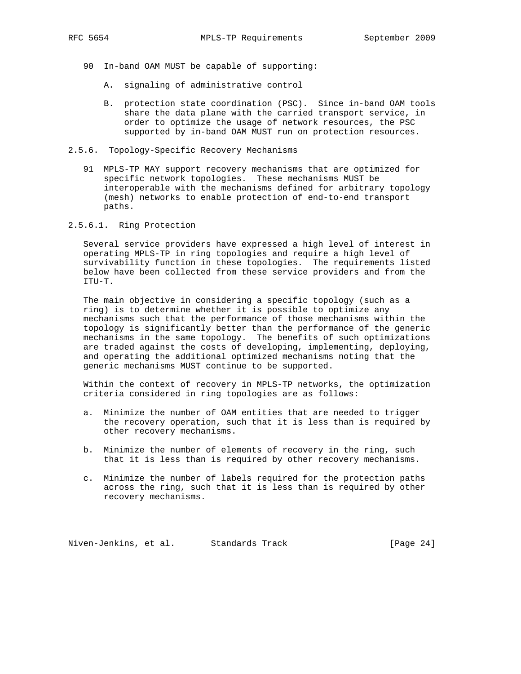- 90 In-band OAM MUST be capable of supporting:
	- A. signaling of administrative control
	- B. protection state coordination (PSC). Since in-band OAM tools share the data plane with the carried transport service, in order to optimize the usage of network resources, the PSC supported by in-band OAM MUST run on protection resources.
- 2.5.6. Topology-Specific Recovery Mechanisms
	- 91 MPLS-TP MAY support recovery mechanisms that are optimized for specific network topologies. These mechanisms MUST be interoperable with the mechanisms defined for arbitrary topology (mesh) networks to enable protection of end-to-end transport paths.
- 2.5.6.1. Ring Protection

 Several service providers have expressed a high level of interest in operating MPLS-TP in ring topologies and require a high level of survivability function in these topologies. The requirements listed below have been collected from these service providers and from the ITU-T.

 The main objective in considering a specific topology (such as a ring) is to determine whether it is possible to optimize any mechanisms such that the performance of those mechanisms within the topology is significantly better than the performance of the generic mechanisms in the same topology. The benefits of such optimizations are traded against the costs of developing, implementing, deploying, and operating the additional optimized mechanisms noting that the generic mechanisms MUST continue to be supported.

 Within the context of recovery in MPLS-TP networks, the optimization criteria considered in ring topologies are as follows:

- a. Minimize the number of OAM entities that are needed to trigger the recovery operation, such that it is less than is required by other recovery mechanisms.
- b. Minimize the number of elements of recovery in the ring, such that it is less than is required by other recovery mechanisms.
- c. Minimize the number of labels required for the protection paths across the ring, such that it is less than is required by other recovery mechanisms.

Niven-Jenkins, et al. Standards Track [Page 24]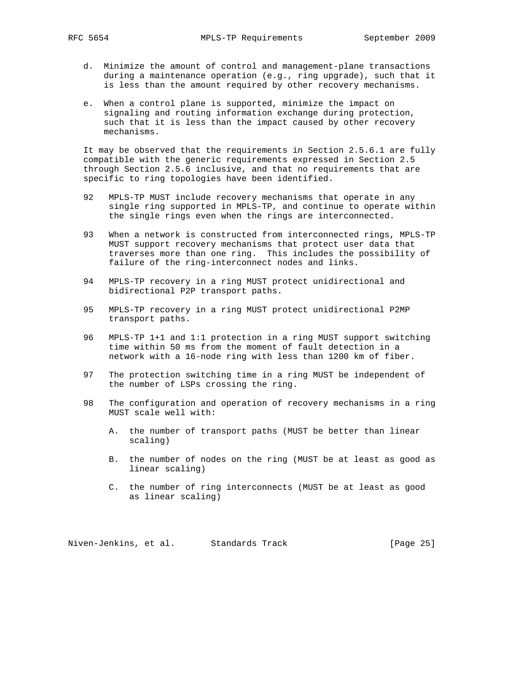- d. Minimize the amount of control and management-plane transactions during a maintenance operation (e.g., ring upgrade), such that it is less than the amount required by other recovery mechanisms.
- e. When a control plane is supported, minimize the impact on signaling and routing information exchange during protection, such that it is less than the impact caused by other recovery mechanisms.

 It may be observed that the requirements in Section 2.5.6.1 are fully compatible with the generic requirements expressed in Section 2.5 through Section 2.5.6 inclusive, and that no requirements that are specific to ring topologies have been identified.

- 92 MPLS-TP MUST include recovery mechanisms that operate in any single ring supported in MPLS-TP, and continue to operate within the single rings even when the rings are interconnected.
- 93 When a network is constructed from interconnected rings, MPLS-TP MUST support recovery mechanisms that protect user data that traverses more than one ring. This includes the possibility of failure of the ring-interconnect nodes and links.
- 94 MPLS-TP recovery in a ring MUST protect unidirectional and bidirectional P2P transport paths.
- 95 MPLS-TP recovery in a ring MUST protect unidirectional P2MP transport paths.
- 96 MPLS-TP 1+1 and 1:1 protection in a ring MUST support switching time within 50 ms from the moment of fault detection in a network with a 16-node ring with less than 1200 km of fiber.
- 97 The protection switching time in a ring MUST be independent of the number of LSPs crossing the ring.
- 98 The configuration and operation of recovery mechanisms in a ring MUST scale well with:
	- A. the number of transport paths (MUST be better than linear scaling)
	- B. the number of nodes on the ring (MUST be at least as good as linear scaling)
	- C. the number of ring interconnects (MUST be at least as good as linear scaling)

Niven-Jenkins, et al. Standards Track [Page 25]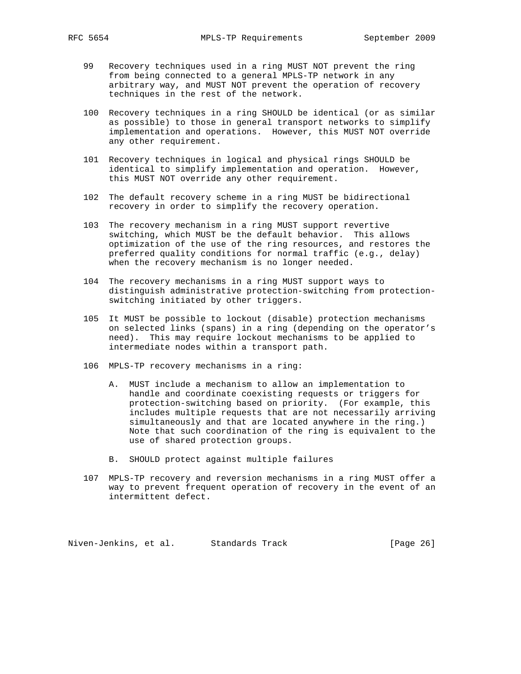- 99 Recovery techniques used in a ring MUST NOT prevent the ring from being connected to a general MPLS-TP network in any arbitrary way, and MUST NOT prevent the operation of recovery techniques in the rest of the network.
- 100 Recovery techniques in a ring SHOULD be identical (or as similar as possible) to those in general transport networks to simplify implementation and operations. However, this MUST NOT override any other requirement.
- 101 Recovery techniques in logical and physical rings SHOULD be identical to simplify implementation and operation. However, this MUST NOT override any other requirement.
- 102 The default recovery scheme in a ring MUST be bidirectional recovery in order to simplify the recovery operation.
- 103 The recovery mechanism in a ring MUST support revertive switching, which MUST be the default behavior. This allows optimization of the use of the ring resources, and restores the preferred quality conditions for normal traffic (e.g., delay) when the recovery mechanism is no longer needed.
- 104 The recovery mechanisms in a ring MUST support ways to distinguish administrative protection-switching from protection switching initiated by other triggers.
- 105 It MUST be possible to lockout (disable) protection mechanisms on selected links (spans) in a ring (depending on the operator's need). This may require lockout mechanisms to be applied to intermediate nodes within a transport path.
- 106 MPLS-TP recovery mechanisms in a ring:
	- A. MUST include a mechanism to allow an implementation to handle and coordinate coexisting requests or triggers for protection-switching based on priority. (For example, this includes multiple requests that are not necessarily arriving simultaneously and that are located anywhere in the ring.) Note that such coordination of the ring is equivalent to the use of shared protection groups.
	- B. SHOULD protect against multiple failures
- 107 MPLS-TP recovery and reversion mechanisms in a ring MUST offer a way to prevent frequent operation of recovery in the event of an intermittent defect.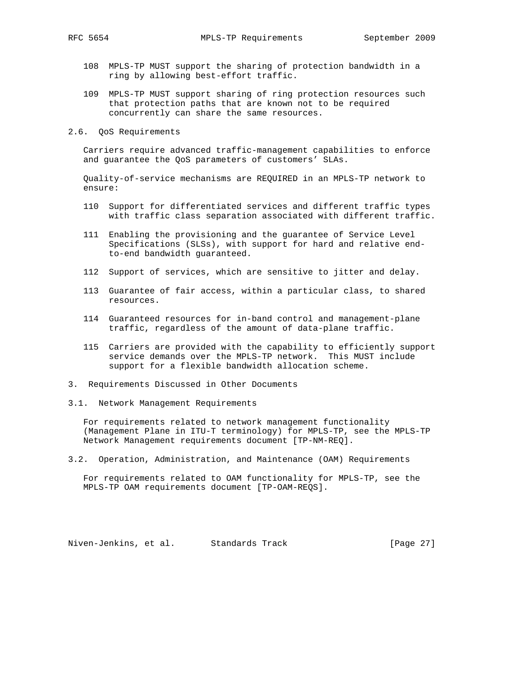- 108 MPLS-TP MUST support the sharing of protection bandwidth in a ring by allowing best-effort traffic.
- 109 MPLS-TP MUST support sharing of ring protection resources such that protection paths that are known not to be required concurrently can share the same resources.
- 2.6. QoS Requirements

 Carriers require advanced traffic-management capabilities to enforce and guarantee the QoS parameters of customers' SLAs.

 Quality-of-service mechanisms are REQUIRED in an MPLS-TP network to ensure:

- 110 Support for differentiated services and different traffic types with traffic class separation associated with different traffic.
- 111 Enabling the provisioning and the guarantee of Service Level Specifications (SLSs), with support for hard and relative end to-end bandwidth guaranteed.
- 112 Support of services, which are sensitive to jitter and delay.
- 113 Guarantee of fair access, within a particular class, to shared resources.
- 114 Guaranteed resources for in-band control and management-plane traffic, regardless of the amount of data-plane traffic.
- 115 Carriers are provided with the capability to efficiently support service demands over the MPLS-TP network. This MUST include support for a flexible bandwidth allocation scheme.
- 3. Requirements Discussed in Other Documents
- 3.1. Network Management Requirements

 For requirements related to network management functionality (Management Plane in ITU-T terminology) for MPLS-TP, see the MPLS-TP Network Management requirements document [TP-NM-REQ].

3.2. Operation, Administration, and Maintenance (OAM) Requirements

 For requirements related to OAM functionality for MPLS-TP, see the MPLS-TP OAM requirements document [TP-OAM-REQS].

Niven-Jenkins, et al. Standards Track [Page 27]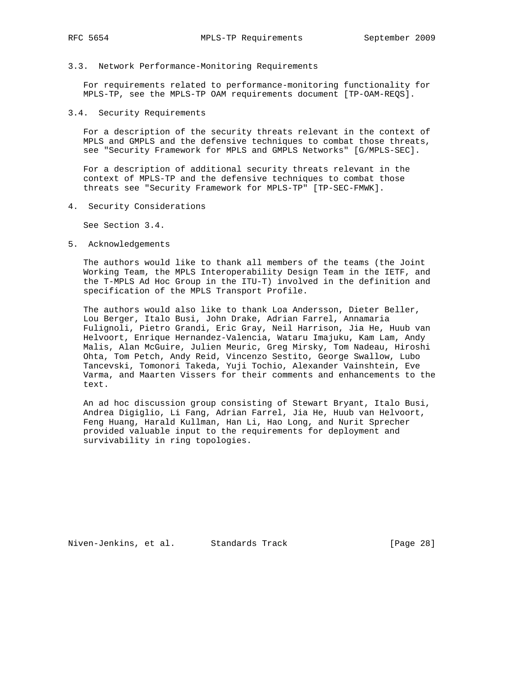- 
- 3.3. Network Performance-Monitoring Requirements

 For requirements related to performance-monitoring functionality for MPLS-TP, see the MPLS-TP OAM requirements document [TP-OAM-REQS].

3.4. Security Requirements

 For a description of the security threats relevant in the context of MPLS and GMPLS and the defensive techniques to combat those threats, see "Security Framework for MPLS and GMPLS Networks" [G/MPLS-SEC].

 For a description of additional security threats relevant in the context of MPLS-TP and the defensive techniques to combat those threats see "Security Framework for MPLS-TP" [TP-SEC-FMWK].

4. Security Considerations

See Section 3.4.

5. Acknowledgements

 The authors would like to thank all members of the teams (the Joint Working Team, the MPLS Interoperability Design Team in the IETF, and the T-MPLS Ad Hoc Group in the ITU-T) involved in the definition and specification of the MPLS Transport Profile.

 The authors would also like to thank Loa Andersson, Dieter Beller, Lou Berger, Italo Busi, John Drake, Adrian Farrel, Annamaria Fulignoli, Pietro Grandi, Eric Gray, Neil Harrison, Jia He, Huub van Helvoort, Enrique Hernandez-Valencia, Wataru Imajuku, Kam Lam, Andy Malis, Alan McGuire, Julien Meuric, Greg Mirsky, Tom Nadeau, Hiroshi Ohta, Tom Petch, Andy Reid, Vincenzo Sestito, George Swallow, Lubo Tancevski, Tomonori Takeda, Yuji Tochio, Alexander Vainshtein, Eve Varma, and Maarten Vissers for their comments and enhancements to the text.

 An ad hoc discussion group consisting of Stewart Bryant, Italo Busi, Andrea Digiglio, Li Fang, Adrian Farrel, Jia He, Huub van Helvoort, Feng Huang, Harald Kullman, Han Li, Hao Long, and Nurit Sprecher provided valuable input to the requirements for deployment and survivability in ring topologies.

Niven-Jenkins, et al. Standards Track [Page 28]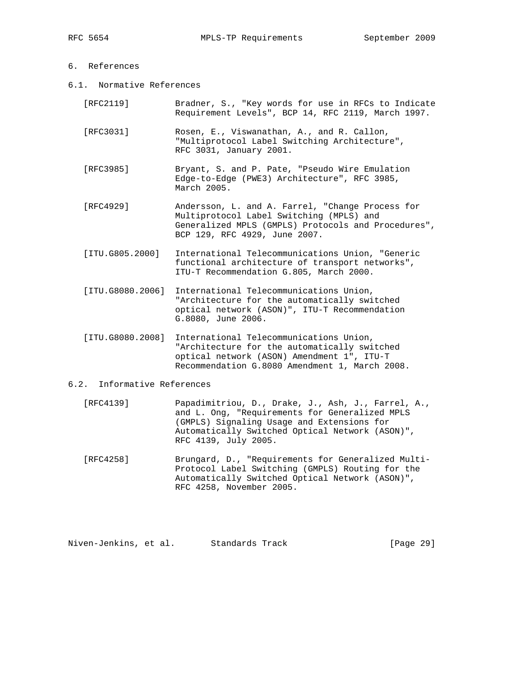# 6. References

6.1. Normative References

| [RFC2119]        | Bradner, S., "Key words for use in RFCs to Indicate<br>Requirement Levels", BCP 14, RFC 2119, March 1997.                                                                            |
|------------------|--------------------------------------------------------------------------------------------------------------------------------------------------------------------------------------|
| [RFC3031]        | Rosen, E., Viswanathan, A., and R. Callon,<br>"Multiprotocol Label Switching Architecture",<br>RFC 3031, January 2001.                                                               |
| [RFC3985]        | Bryant, S. and P. Pate, "Pseudo Wire Emulation<br>Edge-to-Edge (PWE3) Architecture", RFC 3985,<br>March 2005.                                                                        |
| [RFC4929]        | Andersson, L. and A. Farrel, "Change Process for<br>Multiprotocol Label Switching (MPLS) and<br>Generalized MPLS (GMPLS) Protocols and Procedures",<br>BCP 129, RFC 4929, June 2007. |
| [ITU.G805.2000]  | International Telecommunications Union, "Generic<br>functional architecture of transport networks",<br>ITU-T Recommendation G.805, March 2000.                                       |
| [ITU.G8080.2006] | International Telecommunications Union,<br>"Architecture for the automatically switched<br>optical network (ASON)", ITU-T Recommendation<br>G.8080, June 2006.                       |
| [ITU.G8080.2008] | International Telecommunications Union,<br>"Architecture for the automatically switched<br>optical network (ASON) Amendment 1", ITU-T                                                |

#### 6.2. Informative References

 [RFC4139] Papadimitriou, D., Drake, J., Ash, J., Farrel, A., and L. Ong, "Requirements for Generalized MPLS (GMPLS) Signaling Usage and Extensions for Automatically Switched Optical Network (ASON)", RFC 4139, July 2005.

Recommendation G.8080 Amendment 1, March 2008.

 [RFC4258] Brungard, D., "Requirements for Generalized Multi- Protocol Label Switching (GMPLS) Routing for the Automatically Switched Optical Network (ASON)", RFC 4258, November 2005.

Niven-Jenkins, et al. Standards Track [Page 29]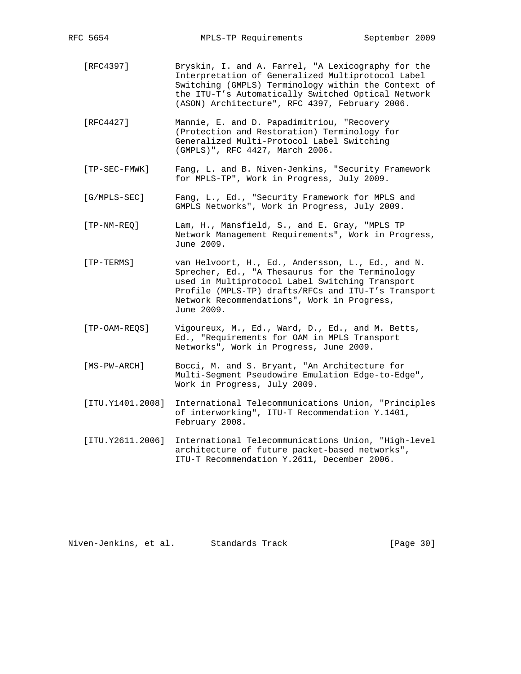- [RFC4397] Bryskin, I. and A. Farrel, "A Lexicography for the Interpretation of Generalized Multiprotocol Label Switching (GMPLS) Terminology within the Context of the ITU-T's Automatically Switched Optical Network (ASON) Architecture", RFC 4397, February 2006.
- [RFC4427] Mannie, E. and D. Papadimitriou, "Recovery (Protection and Restoration) Terminology for Generalized Multi-Protocol Label Switching (GMPLS)", RFC 4427, March 2006.
- [TP-SEC-FMWK] Fang, L. and B. Niven-Jenkins, "Security Framework for MPLS-TP", Work in Progress, July 2009.
- [G/MPLS-SEC] Fang, L., Ed., "Security Framework for MPLS and GMPLS Networks", Work in Progress, July 2009.
- [TP-NM-REQ] Lam, H., Mansfield, S., and E. Gray, "MPLS TP Network Management Requirements", Work in Progress, June 2009.
- [TP-TERMS] van Helvoort, H., Ed., Andersson, L., Ed., and N. Sprecher, Ed., "A Thesaurus for the Terminology used in Multiprotocol Label Switching Transport Profile (MPLS-TP) drafts/RFCs and ITU-T's Transport Network Recommendations", Work in Progress, June 2009.
- [TP-OAM-REQS] Vigoureux, M., Ed., Ward, D., Ed., and M. Betts, Ed., "Requirements for OAM in MPLS Transport Networks", Work in Progress, June 2009.
- [MS-PW-ARCH] Bocci, M. and S. Bryant, "An Architecture for Multi-Segment Pseudowire Emulation Edge-to-Edge", Work in Progress, July 2009.
- [ITU.Y1401.2008] International Telecommunications Union, "Principles of interworking", ITU-T Recommendation Y.1401, February 2008.
- [ITU.Y2611.2006] International Telecommunications Union, "High-level architecture of future packet-based networks", ITU-T Recommendation Y.2611, December 2006.

Niven-Jenkins, et al. Standards Track [Page 30]